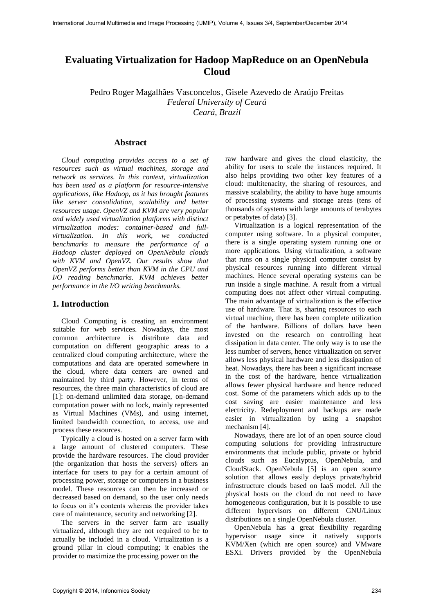# **Evaluating Virtualization for Hadoop MapReduce on an OpenNebula Cloud**

Pedro Roger Magalhães Vasconcelos , Gisele Azevedo de Araújo Freitas *Federal University of Ceará Ceará, Brazil* 

### **Abstract**

*Cloud computing provides access to a set of resources such as virtual machines, storage and network as services. In this context, virtualization has been used as a platform for resource-intensive applications, like Hadoop, as it has brought features like server consolidation, scalability and better resources usage. OpenVZ and KVM are very popular and widely used virtualization platforms with distinct virtualization modes: container-based and fullvirtualization. In this work, we conducted benchmarks to measure the performance of a Hadoop cluster deployed on OpenNebula clouds with KVM and OpenVZ. Our results show that OpenVZ performs better than KVM in the CPU and I/O reading benchmarks. KVM achieves better performance in the I/O writing benchmarks.* 

### **1. Introduction**

Cloud Computing is creating an environment suitable for web services. Nowadays, the most common architecture is distribute data and computation on different geographic areas to a centralized cloud computing architecture, where the computations and data are operated somewhere in the cloud, where data centers are owned and maintained by third party. However, in terms of resources, the three main characteristics of cloud are [1]: on-demand unlimited data storage, on-demand computation power with no lock, mainly represented as Virtual Machines (VMs), and using internet, limited bandwidth connection, to access, use and process these resources.

Typically a cloud is hosted on a server farm with a large amount of clustered computers. These provide the hardware resources. The cloud provider (the organization that hosts the servers) offers an interface for users to pay for a certain amount of processing power, storage or computers in a business model. These resources can then be increased or decreased based on demand, so the user only needs to focus on it's contents whereas the provider takes care of maintenance, security and networking [2].

The servers in the server farm are usually virtualized, although they are not required to be to actually be included in a cloud. Virtualization is a ground pillar in cloud computing; it enables the provider to maximize the processing power on the

raw hardware and gives the cloud elasticity, the ability for users to scale the instances required. It also helps providing two other key features of a cloud: multitenacity, the sharing of resources, and massive scalability, the ability to have huge amounts of processing systems and storage areas (tens of thousands of systems with large amounts of terabytes or petabytes of data) [3].

Virtualization is a logical representation of the computer using software. In a physical computer, there is a single operating system running one or more applications. Using virtualization, a software that runs on a single physical computer consist by physical resources running into different virtual machines. Hence several operating systems can be run inside a single machine. A result from a virtual computing does not affect other virtual computing. The main advantage of virtualization is the effective use of hardware. That is, sharing resources to each virtual machine, there has been complete utilization of the hardware. Billions of dollars have been invested on the research on controlling heat dissipation in data center. The only way is to use the less number of servers, hence virtualization on server allows less physical hardware and less dissipation of heat. Nowadays, there has been a significant increase in the cost of the hardware, hence virtualization allows fewer physical hardware and hence reduced cost. Some of the parameters which adds up to the cost saving are easier maintenance and less electricity. Redeployment and backups are made easier in virtualization by using a snapshot mechanism [4].

Nowadays, there are lot of an open source cloud computing solutions for providing infrastructure environments that include public, private or hybrid clouds such as Eucalyptus, OpenNebula, and CloudStack. OpenNebula [5] is an open source solution that allows easily deploys private/hybrid infrastructure clouds based on IaaS model. All the physical hosts on the cloud do not need to have homogeneous configuration, but it is possible to use different hypervisors on different GNU/Linux distributions on a single OpenNebula cluster.

OpenNebula has a great flexibility regarding hypervisor usage since it natively supports KVM/Xen (which are open source) and VMware ESXi. Drivers provided by the OpenNebula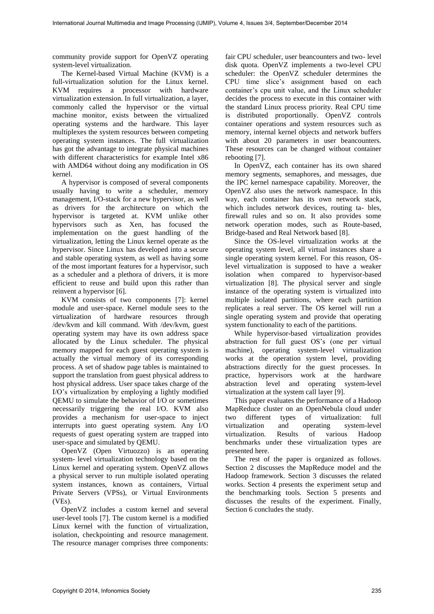community provide support for OpenVZ operating system-level virtualization.

The Kernel-based Virtual Machine (KVM) is a full-virtualization solution for the Linux kernel. KVM requires a processor with hardware virtualization extension. In full virtualization, a layer, commonly called the hypervisor or the virtual machine monitor, exists between the virtualized operating systems and the hardware. This layer multiplexes the system resources between competing operating system instances. The full virtualization has got the advantage to integrate physical machines with different characteristics for example Intel x86 with AMD64 without doing any modification in OS kernel.

A hypervisor is composed of several components usually having to write a scheduler, memory management, I/O-stack for a new hypervisor, as well as drivers for the architecture on which the hypervisor is targeted at. KVM unlike other hypervisors such as Xen, has focused the implementation on the guest handling of the virtualization, letting the Linux kernel operate as the hypervisor. Since Linux has developed into a secure and stable operating system, as well as having some of the most important features for a hypervisor, such as a scheduler and a plethora of drivers, it is more efficient to reuse and build upon this rather than reinvent a hypervisor [6].

KVM consists of two components [7]: kernel module and user-space. Kernel module sees to the virtualization of hardware resources through /dev/kvm and kill command. With /dev/kvm, guest operating system may have its own address space allocated by the Linux scheduler. The physical memory mapped for each guest operating system is actually the virtual memory of its corresponding process. A set of shadow page tables is maintained to support the translation from guest physical address to host physical address. User space takes charge of the I/O's virtualization by employing a lightly modified QEMU to simulate the behavior of I/O or sometimes necessarily triggering the real I/O. KVM also provides a mechanism for user-space to inject interrupts into guest operating system. Any I/O requests of guest operating system are trapped into user-space and simulated by QEMU.

OpenVZ (Open Virtuozzo) is an operating system- level virtualization technology based on the Linux kernel and operating system. OpenVZ allows a physical server to run multiple isolated operating system instances, known as containers, Virtual Private Servers (VPSs), or Virtual Environments (VEs).

OpenVZ includes a custom kernel and several user-level tools [7]. The custom kernel is a modified Linux kernel with the function of virtualization, isolation, checkpointing and resource management. The resource manager comprises three components:

fair CPU scheduler, user beancounters and two- level disk quota. OpenVZ implements a two-level CPU scheduler: the OpenVZ scheduler determines the CPU time slice's assignment based on each container's cpu unit value, and the Linux scheduler decides the process to execute in this container with the standard Linux process priority. Real CPU time is distributed proportionally. OpenVZ controls container operations and system resources such as memory, internal kernel objects and network buffers with about 20 parameters in user beancounters. These resources can be changed without container rebooting [7].

In OpenVZ, each container has its own shared memory segments, semaphores, and messages, due the IPC kernel namespace capability. Moreover, the OpenVZ also uses the network namespace. In this way, each container has its own network stack, which includes network devices, routing ta- bles, firewall rules and so on. It also provides some network operation modes, such as Route-based, Bridge-based and Real Network based [8].

Since the OS-level virtualization works at the operating system level, all virtual instances share a single operating system kernel. For this reason, OSlevel virtualization is supposed to have a weaker isolation when compared to hypervisor-based virtualization [8]. The physical server and single instance of the operating system is virtualized into multiple isolated partitions, where each partition replicates a real server. The OS kernel will run a single operating system and provide that operating system functionality to each of the partitions.

While hypervisor-based virtualization provides abstraction for full guest OS's (one per virtual machine), operating system-level virtualization works at the operation system level, providing abstractions directly for the guest processes. In practice, hypervisors work at the hardware abstraction level and operating system-level virtualization at the system call layer [9].

This paper evaluates the performance of a Hadoop MapReduce cluster on an OpenNebula cloud under two different types of virtualization: full virtualization and operating system-level virtualization. Results of various Hadoop benchmarks under these virtualization types are presented here.

The rest of the paper is organized as follows. Section 2 discusses the MapReduce model and the Hadoop framework. Section 3 discusses the related works. Section 4 presents the experiment setup and the benchmarking tools. Section 5 presents and discusses the results of the experiment. Finally, Section 6 concludes the study.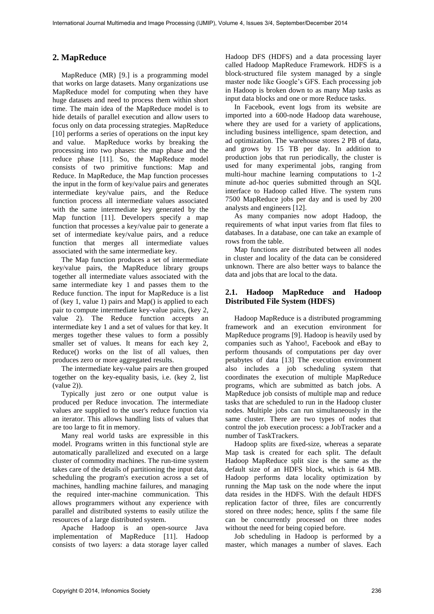## **2. MapReduce**

MapReduce (MR) [9.] is a programming model that works on large datasets. Many organizations use MapReduce model for computing when they have huge datasets and need to process them within short time. The main idea of the MapReduce model is to hide details of parallel execution and allow users to focus only on data processing strategies. MapReduce [10] performs a series of operations on the input key and value. MapReduce works by breaking the processing into two phases: the map phase and the reduce phase [11]. So, the MapReduce model consists of two primitive functions: Map and Reduce. In MapReduce, the Map function processes the input in the form of key/value pairs and generates intermediate key/value pairs, and the Reduce function process all intermediate values associated with the same intermediate key generated by the Map function [11]. Developers specify a map function that processes a key/value pair to generate a set of intermediate key/value pairs, and a reduce function that merges all intermediate values associated with the same intermediate key.

The Map function produces a set of intermediate key/value pairs, the MapReduce library groups together all intermediate values associated with the same intermediate key 1 and passes them to the Reduce function. The input for MapReduce is a list of (key 1, value 1) pairs and Map() is applied to each pair to compute intermediate key-value pairs, (key 2, value 2). The Reduce function accepts an intermediate key 1 and a set of values for that key. It merges together these values to form a possibly smaller set of values. It means for each key 2, Reduce() works on the list of all values, then produces zero or more aggregated results.

The intermediate key-value pairs are then grouped together on the key-equality basis, i.e. (key 2, list (value 2)).

Typically just zero or one output value is produced per Reduce invocation. The intermediate values are supplied to the user's reduce function via an iterator. This allows handling lists of values that are too large to fit in memory.

Many real world tasks are expressible in this model. Programs written in this functional style are automatically parallelized and executed on a large cluster of commodity machines. The run-time system takes care of the details of partitioning the input data, scheduling the program's execution across a set of machines, handling machine failures, and managing the required inter-machine communication. This allows programmers without any experience with parallel and distributed systems to easily utilize the resources of a large distributed system.

Apache Hadoop is an open-source Java implementation of MapReduce [11]. Hadoop consists of two layers: a data storage layer called

Hadoop DFS (HDFS) and a data processing layer called Hadoop MapReduce Framework. HDFS is a block-structured file system managed by a single master node like Google's GFS. Each processing job in Hadoop is broken down to as many Map tasks as input data blocks and one or more Reduce tasks.

In Facebook, event logs from its website are imported into a 600-node Hadoop data warehouse, where they are used for a variety of applications, including business intelligence, spam detection, and ad optimization. The warehouse stores 2 PB of data, and grows by 15 TB per day. In addition to production jobs that run periodically, the cluster is used for many experimental jobs, ranging from multi-hour machine learning computations to 1-2 minute ad-hoc queries submitted through an SQL interface to Hadoop called Hive. The system runs 7500 MapReduce jobs per day and is used by 200 analysts and engineers [12].

As many companies now adopt Hadoop, the requirements of what input varies from flat files to databases. In a database, one can take an example of rows from the table.

Map functions are distributed between all nodes in cluster and locality of the data can be considered unknown. There are also better ways to balance the data and jobs that are local to the data.

### **2.1. Hadoop MapReduce and Hadoop Distributed File System (HDFS)**

Hadoop MapReduce is a distributed programming framework and an execution environment for MapReduce programs [9]. Hadoop is heavily used by companies such as Yahoo!, Facebook and eBay to perform thousands of computations per day over petabytes of data [13] The execution environment also includes a job scheduling system that coordinates the execution of multiple MapReduce programs, which are submitted as batch jobs. A MapReduce job consists of multiple map and reduce tasks that are scheduled to run in the Hadoop cluster nodes. Multiple jobs can run simultaneously in the same cluster. There are two types of nodes that control the job execution process: a JobTracker and a number of TaskTrackers.

Hadoop splits are fixed-size, whereas a separate Map task is created for each split. The default Hadoop MapReduce split size is the same as the default size of an HDFS block, which is 64 MB. Hadoop performs data locality optimization by running the Map task on the node where the input data resides in the HDFS. With the default HDFS replication factor of three, files are concurrently stored on three nodes; hence, splits f the same file can be concurrently processed on three nodes without the need for being copied before.

Job scheduling in Hadoop is performed by a master, which manages a number of slaves. Each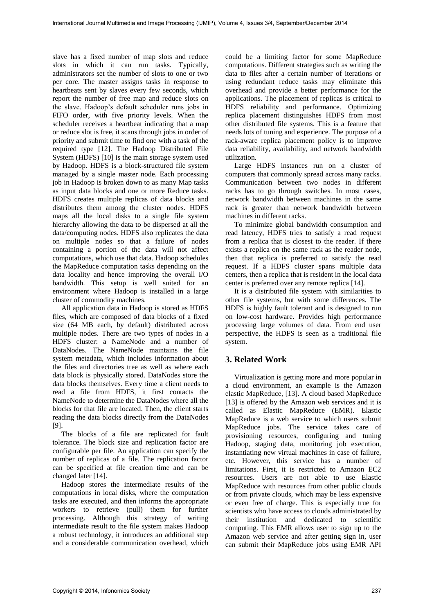slave has a fixed number of map slots and reduce slots in which it can run tasks. Typically, administrators set the number of slots to one or two per core. The master assigns tasks in response to heartbeats sent by slaves every few seconds, which report the number of free map and reduce slots on the slave. Hadoop's default scheduler runs jobs in FIFO order, with five priority levels. When the scheduler receives a heartbeat indicating that a map or reduce slot is free, it scans through jobs in order of priority and submit time to find one with a task of the required type [12]. The Hadoop Distributed File System (HDFS) [10] is the main storage system used by Hadoop. HDFS is a block-structured file system managed by a single master node. Each processing job in Hadoop is broken down to as many Map tasks as input data blocks and one or more Reduce tasks. HDFS creates multiple replicas of data blocks and distributes them among the cluster nodes. HDFS maps all the local disks to a single file system hierarchy allowing the data to be dispersed at all the data/computing nodes. HDFS also replicates the data on multiple nodes so that a failure of nodes containing a portion of the data will not affect computations, which use that data. Hadoop schedules the MapReduce computation tasks depending on the data locality and hence improving the overall I/O bandwidth. This setup is well suited for an environment where Hadoop is installed in a large cluster of commodity machines.

All application data in Hadoop is stored as HDFS files, which are composed of data blocks of a fixed size (64 MB each, by default) distributed across multiple nodes. There are two types of nodes in a HDFS cluster: a NameNode and a number of DataNodes. The NameNode maintains the file system metadata, which includes information about the files and directories tree as well as where each data block is physically stored. DataNodes store the data blocks themselves. Every time a client needs to read a file from HDFS, it first contacts the NameNode to determine the DataNodes where all the blocks for that file are located. Then, the client starts reading the data blocks directly from the DataNodes [9].

The blocks of a file are replicated for fault tolerance. The block size and replication factor are configurable per file. An application can specify the number of replicas of a file. The replication factor can be specified at file creation time and can be changed later [14].

Hadoop stores the intermediate results of the computations in local disks, where the computation tasks are executed, and then informs the appropriate workers to retrieve (pull) them for further processing. Although this strategy of writing intermediate result to the file system makes Hadoop a robust technology, it introduces an additional step and a considerable communication overhead, which

could be a limiting factor for some MapReduce computations. Different strategies such as writing the data to files after a certain number of iterations or using redundant reduce tasks may eliminate this overhead and provide a better performance for the applications. The placement of replicas is critical to HDFS reliability and performance. Optimizing replica placement distinguishes HDFS from most other distributed file systems. This is a feature that needs lots of tuning and experience. The purpose of a rack-aware replica placement policy is to improve data reliability, availability, and network bandwidth utilization.

Large HDFS instances run on a cluster of computers that commonly spread across many racks. Communication between two nodes in different racks has to go through switches. In most cases, network bandwidth between machines in the same rack is greater than network bandwidth between machines in different racks.

To minimize global bandwidth consumption and read latency, HDFS tries to satisfy a read request from a replica that is closest to the reader. If there exists a replica on the same rack as the reader node, then that replica is preferred to satisfy the read request. If a HDFS cluster spans multiple data centers, then a replica that is resident in the local data center is preferred over any remote replica [14].

It is a distributed file system with similarities to other file systems, but with some differences. The HDFS is highly fault tolerant and is designed to run on low-cost hardware. Provides high performance processing large volumes of data. From end user perspective, the HDFS is seen as a traditional file system.

### **3. Related Work**

Virtualization is getting more and more popular in a cloud environment, an example is the Amazon elastic MapReduce, [13]. A cloud based MapReduce [13] is offered by the Amazon web services and it is called as Elastic MapReduce (EMR). Elastic MapReduce is a web service to which users submit MapReduce jobs. The service takes care of provisioning resources, configuring and tuning Hadoop, staging data, monitoring job execution, instantiating new virtual machines in case of failure, etc. However, this service has a number of limitations. First, it is restricted to Amazon EC2 resources. Users are not able to use Elastic MapReduce with resources from other public clouds or from private clouds, which may be less expensive or even free of charge. This is especially true for scientists who have access to clouds administrated by their institution and dedicated to scientific computing. This EMR allows user to sign up to the Amazon web service and after getting sign in, user can submit their MapReduce jobs using EMR API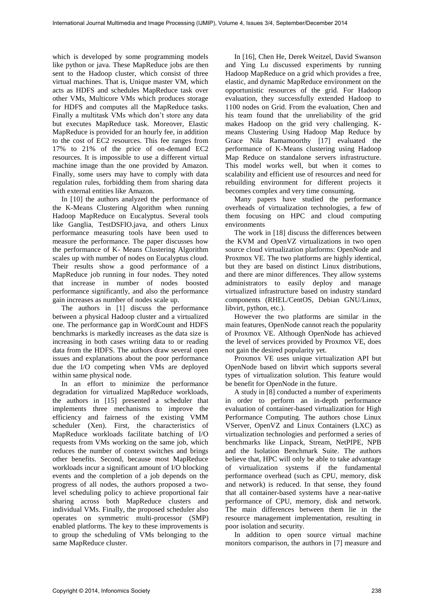which is developed by some programming models like python or java. These MapReduce jobs are then sent to the Hadoop cluster, which consist of three virtual machines. That is, Unique master VM, which acts as HDFS and schedules MapReduce task over other VMs, Multicore VMs which produces storage for HDFS and computes all the MapReduce tasks. Finally a multitask VMs which don't store any data but executes MapReduce task. Moreover, Elastic MapReduce is provided for an hourly fee, in addition to the cost of EC2 resources. This fee ranges from 17% to 21% of the price of on-demand EC2 resources. It is impossible to use a different virtual machine image than the one provided by Amazon. Finally, some users may have to comply with data regulation rules, forbidding them from sharing data with external entities like Amazon.

In [10] the authors analyzed the performance of the K-Means Clustering Algorithm when running Hadoop MapReduce on Eucalyptus. Several tools like Ganglia, TestDSFIO.java, and others Linux performance measuring tools have been used to measure the performance. The paper discusses how the performance of K- Means Clustering Algorithm scales up with number of nodes on Eucalyptus cloud. Their results show a good performance of a MapReduce job running in four nodes. They noted that increase in number of nodes boosted performance significantly, and also the performance gain increases as number of nodes scale up.

The authors in [1] discuss the performance between a physical Hadoop cluster and a virtualized one. The performance gap in WordCount and HDFS benchmarks is markedly increases as the data size is increasing in both cases writing data to or reading data from the HDFS. The authors draw several open issues and explanations about the poor performance due the I/O competing when VMs are deployed within same physical node.

In an effort to minimize the performance degradation for virtualized MapReduce workloads, the authors in [15] presented a scheduler that implements three mechanisms to improve the efficiency and fairness of the existing VMM scheduler (Xen). First, the characteristics of MapReduce workloads facilitate batching of I/O requests from VMs working on the same job, which reduces the number of context switches and brings other benefits. Second, because most MapReduce workloads incur a significant amount of I/O blocking events and the completion of a job depends on the progress of all nodes, the authors proposed a twolevel scheduling policy to achieve proportional fair sharing across both MapReduce clusters and individual VMs. Finally, the proposed scheduler also operates on symmetric multi-processor (SMP) enabled platforms. The key to these improvements is to group the scheduling of VMs belonging to the same MapReduce cluster.

In [16], Chen He, Derek Weitzel, David Swanson and Ying Lu discussed experiments by running Hadoop MapReduce on a grid which provides a free, elastic, and dynamic MapReduce environment on the opportunistic resources of the grid. For Hadoop evaluation, they successfully extended Hadoop to 1100 nodes on Grid. From the evaluation, Chen and his team found that the unreliability of the grid makes Hadoop on the grid very challenging. Kmeans Clustering Using Hadoop Map Reduce by Grace Nila Ramamoorthy [17] evaluated the performance of K-Means clustering using Hadoop Map Reduce on standalone servers infrastructure. This model works well, but when it comes to scalability and efficient use of resources and need for rebuilding environment for different projects it becomes complex and very time consuming.

Many papers have studied the performance overheads of virtualization technologies, a few of them focusing on HPC and cloud computing environments

The work in [18] discuss the differences between the KVM and OpenVZ virtualizations in two open source cloud virtualization platforms: OpenNode and Proxmox VE. The two platforms are highly identical, but they are based on distinct Linux distributions, and there are minor differences. They allow systems administrators to easily deploy and manage virtualized infrastructure based on industry standard components (RHEL/CentOS, Debian GNU/Linux, libvirt, python, etc.).

However the two platforms are similar in the main features, OpenNode cannot reach the popularity of Proxmox VE. Although OpenNode has achieved the level of services provided by Proxmox VE, does not gain the desired popularity yet.

Proxmox VE uses unique virtualization API but OpenNode based on libvirt which supports several types of virtualization solution. This feature would be benefit for OpenNode in the future.

A study in [8] conducted a number of experiments in order to perform an in-depth performance evaluation of container-based virtualization for High Performance Computing. The authors chose Linux VServer, OpenVZ and Linux Containers (LXC) as virtualization technologies and performed a series of benchmarks like Linpack, Stream, NetPIPE, NPB and the Isolation Benchmark Suite. The authors believe that, HPC will only be able to take advantage of virtualization systems if the fundamental performance overhead (such as CPU, memory, disk and network) is reduced. In that sense, they found that all container-based systems have a near-native performance of CPU, memory, disk and network. The main differences between them lie in the resource management implementation, resulting in poor isolation and security.

In addition to open source virtual machine monitors comparison, the authors in [7] measure and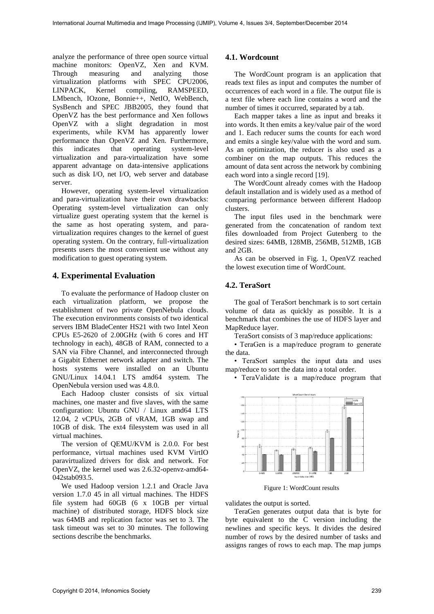analyze the performance of three open source virtual machine monitors: OpenVZ, Xen and KVM. Through measuring and analyzing those virtualization platforms with SPEC CPU2006, LINPACK, Kernel compiling, RAMSPEED, LMbench, IOzone, Bonnie++, NetIO, WebBench, SysBench and SPEC JBB2005, they found that OpenVZ has the best performance and Xen follows OpenVZ with a slight degradation in most experiments, while KVM has apparently lower performance than OpenVZ and Xen. Furthermore, this indicates that operating system-level virtualization and para-virtualization have some apparent advantage on data-intensive applications such as disk I/O, net I/O, web server and database server.

However, operating system-level virtualization and para-virtualization have their own drawbacks: Operating system-level virtualization can only virtualize guest operating system that the kernel is the same as host operating system, and paravirtualization requires changes to the kernel of guest operating system. On the contrary, full-virtualization presents users the most convenient use without any modification to guest operating system.

### **4. Experimental Evaluation**

To evaluate the performance of Hadoop cluster on each virtualization platform, we propose the establishment of two private OpenNebula clouds. The execution environments consists of two identical servers IBM BladeCenter HS21 with two Intel Xeon CPUs E5-2620 of 2.00GHz (with 6 cores and HT technology in each), 48GB of RAM, connected to a SAN via Fibre Channel, and interconnected through a Gigabit Ethernet network adapter and switch. The hosts systems were installed on an Ubuntu GNU/Linux 14.04.1 LTS amd64 system. The OpenNebula version used was 4.8.0.

Each Hadoop cluster consists of six virtual machines, one master and five slaves, with the same configuration: Ubuntu GNU / Linux amd64 LTS 12.04, 2 vCPUs, 2GB of vRAM, 1GB swap and 10GB of disk. The ext4 filesystem was used in all virtual machines.

The version of QEMU/KVM is 2.0.0. For best performance, virtual machines used KVM VirtIO paravirtualized drivers for disk and network. For OpenVZ, the kernel used was 2.6.32-openvz-amd64- 042stab093.5.

We used Hadoop version 1.2.1 and Oracle Java version 1.7.0 45 in all virtual machines. The HDFS file system had 60GB (6 x 10GB per virtual machine) of distributed storage, HDFS block size was 64MB and replication factor was set to 3. The task timeout was set to 30 minutes. The following sections describe the benchmarks.

### **4.1. Wordcount**

The WordCount program is an application that reads text files as input and computes the number of occurrences of each word in a file. The output file is a text file where each line contains a word and the number of times it occurred, separated by a tab.

Each mapper takes a line as input and breaks it into words. It then emits a key/value pair of the word and 1. Each reducer sums the counts for each word and emits a single key/value with the word and sum. As an optimization, the reducer is also used as a combiner on the map outputs. This reduces the amount of data sent across the network by combining each word into a single record [19].

The WordCount already comes with the Hadoop default installation and is widely used as a method of comparing performance between different Hadoop clusters.

The input files used in the benchmark were generated from the concatenation of random text files downloaded from Project Gutenberg to the desired sizes: 64MB, 128MB, 256MB, 512MB, 1GB and 2GB.

As can be observed in Fig. 1, OpenVZ reached the lowest execution time of WordCount.

### **4.2. TeraSort**

The goal of TeraSort benchmark is to sort certain volume of data as quickly as possible. It is a benchmark that combines the use of HDFS layer and MapReduce layer.

TeraSort consists of 3 map/reduce applications:

• TeraGen is a map/reduce program to generate the data.

• TeraSort samples the input data and uses map/reduce to sort the data into a total order.

• TeraValidate is a map/reduce program that



Figure 1: WordCount results

validates the output is sorted.

TeraGen generates output data that is byte for byte equivalent to the C version including the newlines and specific keys. It divides the desired number of rows by the desired number of tasks and assigns ranges of rows to each map. The map jumps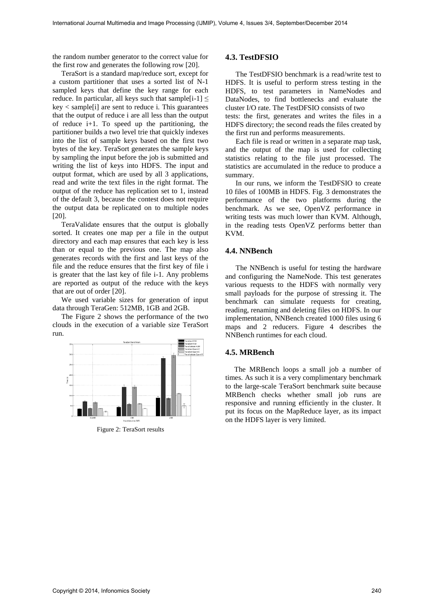the random number generator to the correct value for the first row and generates the following row [20].

TeraSort is a standard map/reduce sort, except for a custom partitioner that uses a sorted list of N-1 sampled keys that define the key range for each reduce. In particular, all keys such that sample[i-1]  $\leq$ key < sample[i] are sent to reduce i. This guarantees that the output of reduce i are all less than the output of reduce  $i+1$ . To speed up the partitioning, the partitioner builds a two level trie that quickly indexes into the list of sample keys based on the first two bytes of the key. TeraSort generates the sample keys by sampling the input before the job is submitted and writing the list of keys into HDFS. The input and output format, which are used by all 3 applications, read and write the text files in the right format. The output of the reduce has replication set to 1, instead of the default 3, because the contest does not require the output data be replicated on to multiple nodes [20].

TeraValidate ensures that the output is globally sorted. It creates one map per a file in the output directory and each map ensures that each key is less than or equal to the previous one. The map also generates records with the first and last keys of the file and the reduce ensures that the first key of file i is greater that the last key of file i-1. Any problems are reported as output of the reduce with the keys that are out of order [20].

We used variable sizes for generation of input data through TeraGen: 512MB, 1GB and 2GB.

The Figure 2 shows the performance of the two clouds in the execution of a variable size TeraSort run.



Figure 2: TeraSort results

#### **4.3. TestDFSIO**

The TestDFSIO benchmark is a read/write test to HDFS. It is useful to perform stress testing in the HDFS, to test parameters in NameNodes and DataNodes, to find bottlenecks and evaluate the cluster I/O rate. The TestDFSIO consists of two

tests: the first, generates and writes the files in a HDFS directory; the second reads the files created by the first run and performs measurements.

Each file is read or written in a separate map task, and the output of the map is used for collecting statistics relating to the file just processed. The statistics are accumulated in the reduce to produce a summary.

In our runs, we inform the TestDFSIO to create 10 files of 100MB in HDFS. Fig. 3 demonstrates the performance of the two platforms during the benchmark. As we see, OpenVZ performance in writing tests was much lower than KVM. Although, in the reading tests OpenVZ performs better than KVM.

### **4.4. NNBench**

The NNBench is useful for testing the hardware and configuring the NameNode. This test generates various requests to the HDFS with normally very small payloads for the purpose of stressing it. The benchmark can simulate requests for creating, reading, renaming and deleting files on HDFS. In our implementation, NNBench created 1000 files using 6 maps and 2 reducers. Figure 4 describes the NNBench runtimes for each cloud.

#### **4.5. MRBench**

The MRBench loops a small job a number of times. As such it is a very complimentary benchmark to the large-scale TeraSort benchmark suite because MRBench checks whether small job runs are responsive and running efficiently in the cluster. It put its focus on the MapReduce layer, as its impact on the HDFS layer is very limited.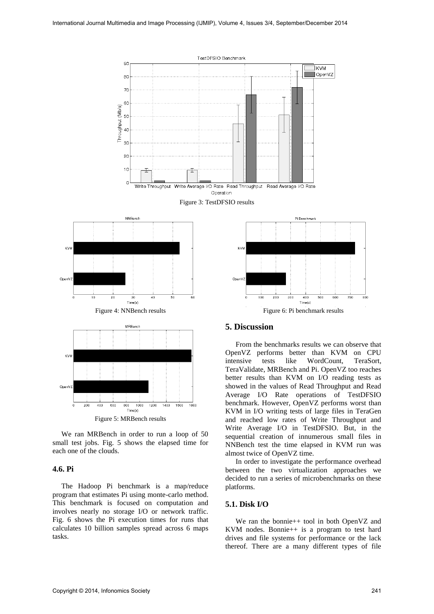

Figure 5: MRBench results

We ran MRBench in order to run a loop of 50 small test jobs. Fig. 5 shows the elapsed time for each one of the clouds.

#### **4.6. Pi**

The Hadoop Pi benchmark is a map/reduce program that estimates Pi using monte-carlo method. This benchmark is focused on computation and involves nearly no storage I/O or network traffic. Fig. 6 shows the Pi execution times for runs that calculates 10 billion samples spread across 6 maps tasks.

OpenVZ performs better than KVM on CPU intensive tests like WordCount, TeraSort, TeraValidate, MRBench and Pi. OpenVZ too reaches better results than KVM on I/O reading tests as showed in the values of Read Throughput and Read Average I/O Rate operations of TestDFSIO benchmark. However, OpenVZ performs worst than KVM in I/O writing tests of large files in TeraGen and reached low rates of Write Throughput and Write Average I/O in TestDFSIO. But, in the sequential creation of innumerous small files in NNBench test the time elapsed in KVM run was almost twice of OpenVZ time.

In order to investigate the performance overhead between the two virtualization approaches we decided to run a series of microbenchmarks on these platforms.

### **5.1. Disk I/O**

We ran the bonnie++ tool in both OpenVZ and KVM nodes. Bonnie++ is a program to test hard drives and file systems for performance or the lack thereof. There are a many different types of file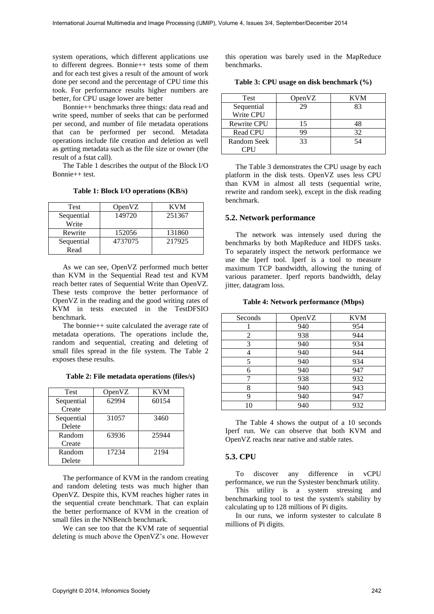system operations, which different applications use to different degrees. Bonnie++ tests some of them and for each test gives a result of the amount of work done per second and the percentage of CPU time this took. For performance results higher numbers are better, for CPU usage lower are better

Bonnie++ benchmarks three things: data read and write speed, number of seeks that can be performed per second, and number of file metadata operations that can be performed per second. Metadata operations include file creation and deletion as well as getting metadata such as the file size or owner (the result of a fstat call).

The Table 1 describes the output of the Block I/O Bonnie++ test.

**Table 1: Block I/O operations (KB/s)** 

| <b>Test</b>         | OpenVZ  | <b>KVM</b> |
|---------------------|---------|------------|
| Sequential<br>Write | 149720  | 251367     |
| Rewrite             | 152056  | 131860     |
| Sequential<br>Read  | 4737075 | 217925     |

As we can see, OpenVZ performed much better than KVM in the Sequential Read test and KVM reach better rates of Sequential Write than OpenVZ. These tests comprove the better performance of OpenVZ in the reading and the good writing rates of KVM in tests executed in the TestDFSIO benchmark.

The bonnie++ suite calculated the average rate of metadata operations. The operations include the, random and sequential, creating and deleting of small files spread in the file system. The Table 2 exposes these results.

**Table 2: File metadata operations (files/s)** 

| <b>Test</b> | OpenVZ | <b>KVM</b> |
|-------------|--------|------------|
| Sequential  | 62994  | 60154      |
| Create      |        |            |
| Sequential  | 31057  | 3460       |
| Delete      |        |            |
| Random      | 63936  | 25944      |
| Create      |        |            |
| Random      | 17234  | 2194       |
| Delete      |        |            |

The performance of KVM in the random creating and random deleting tests was much higher than OpenVZ. Despite this, KVM reaches higher rates in the sequential create benchmark. That can explain the better performance of KVM in the creation of small files in the NNBench benchmark.

We can see too that the KVM rate of sequential deleting is much above the OpenVZ's one. However

this operation was barely used in the MapReduce benchmarks.

**Table 3: CPU usage on disk benchmark (%)** 

| Test               | OpenVZ | KVM |
|--------------------|--------|-----|
| Sequential         | 29     | 83  |
| Write CPU          |        |     |
| <b>Rewrite CPU</b> | 15     | 48  |
| Read CPU           | 99     | 32  |
| <b>Random Seek</b> | 33     | 54  |
| CPH                |        |     |

The Table 3 demonstrates the CPU usage by each platform in the disk tests. OpenVZ uses less CPU than KVM in almost all tests (sequential write, rewrite and random seek), except in the disk reading benchmark.

### **5.2. Network performance**

The network was intensely used during the benchmarks by both MapReduce and HDFS tasks. To separately inspect the network performance we use the Iperf tool. Iperf is a tool to measure maximum TCP bandwidth, allowing the tuning of various parameter. Iperf reports bandwidth, delay jitter, datagram loss.

#### **Table 4: Network performance (Mbps)**

| Seconds | OpenVZ | <b>KVM</b> |
|---------|--------|------------|
|         | 940    | 954        |
| 2       | 938    | 944        |
| 3       | 940    | 934        |
| 4       | 940    | 944        |
| 5       | 940    | 934        |
| 6       | 940    | 947        |
| 7       | 938    | 932        |
| 8       | 940    | 943        |
| 9       | 940    | 947        |
| 10      | 940    | 932        |
|         |        |            |

The Table 4 shows the output of a 10 seconds Iperf run. We can observe that both KVM and OpenVZ reachs near native and stable rates.

#### **5.3. CPU**

To discover any difference in vCPU performance, we run the Systester benchmark utility.

This utility is a system stressing and benchmarking tool to test the system's stability by calculating up to 128 millions of Pi digits.

In our runs, we inform systester to calculate 8 millions of Pi digits.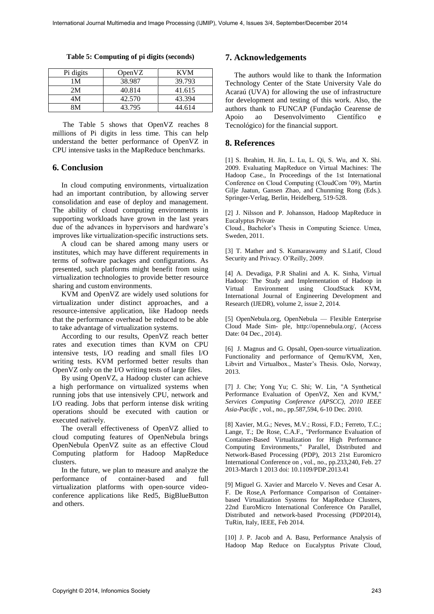| Pi digits | OpenVZ | <b>KVM</b> |
|-----------|--------|------------|
| 1 M       | 38.987 | 39.793     |
| 2M        | 40.814 | 41.615     |
| 4M        | 42.570 | 43.394     |
| 8M        | 43.795 | 44.614     |

**Table 5: Computing of pi digits (seconds)** 

The Table 5 shows that OpenVZ reaches 8 millions of Pi digits in less time. This can help understand the better performance of OpenVZ in CPU intensive tasks in the MapReduce benchmarks.

### **6. Conclusion**

In cloud computing environments, virtualization had an important contribution, by allowing server consolidation and ease of deploy and management. The ability of cloud computing environments in supporting workloads have grown in the last years due of the advances in hypervisors and hardware's improves like virtualization-specific instructions sets.

A cloud can be shared among many users or institutes, which may have different requirements in terms of software packages and configurations. As presented, such platforms might benefit from using virtualization technologies to provide better resource sharing and custom environments.

KVM and OpenVZ are widely used solutions for virtualization under distinct approaches, and a resource-intensive application, like Hadoop needs that the performance overhead be reduced to be able to take advantage of virtualization systems.

According to our results, OpenVZ reach better rates and execution times than KVM on CPU intensive tests, I/O reading and small files I/O writing tests. KVM performed better results than OpenVZ only on the I/O writing tests of large files.

By using OpenVZ, a Hadoop cluster can achieve a high performance on virtualized systems when running jobs that use intensively CPU, network and I/O reading. Jobs that perform intense disk writing operations should be executed with caution or executed natively.

The overall effectiveness of OpenVZ allied to cloud computing features of OpenNebula brings OpenNebula OpenVZ suite as an effective Cloud Computing platform for Hadoop MapReduce clusters.

In the future, we plan to measure and analyze the performance of container-based and full virtualization platforms with open-source videoconference applications like Red5, BigBlueButton and others.

#### **7. Acknowledgements**

The authors would like to thank the Information Technology Center of the State University Vale do Acaraú (UVA) for allowing the use of infrastructure for development and testing of this work. Also, the authors thank to FUNCAP (Fundação Cearense de Apoio ao Desenvolvimento Científico e Tecnológico) for the financial support.

### **8. References**

[1] S. Ibrahim, H. Jin, L. Lu, L. Qi, S. Wu, and X. Shi. 2009. Evaluating MapReduce on Virtual Machines: The Hadoop Case., In Proceedings of the 1st International Conference on Cloud Computing (CloudCom '09), Martin Gilje Jaatun, Gansen Zhao, and Chunming Rong (Eds.). Springer-Verlag, Berlin, Heidelberg, 519-528.

[2] J. Nilsson and P. Johansson, Hadoop MapReduce in Eucalyptus Private

Cloud., Bachelor's Thesis in Computing Science. Umea, Sweden, 2011.

[3] T. Mather and S. Kumaraswamy and S.Latif, Cloud Security and Privacy. O'Reilly, 2009.

[4] A. Devadiga, P.R Shalini and A. K. Sinha, Virtual Hadoop: The Study and Implementation of Hadoop in Virtual Environment using CloudStack KVM, International Journal of Engineering Development and Research (IJEDR), volume 2, issue 2, 2014.

[5] OpenNebula.org, OpenNebula — Flexible Enterprise Cloud Made Sim- ple, http://opennebula.org/, (Access Date: 04 Dec., 2014).

[6] J. Magnus and G. Opsahl, Open-source virtualization. Functionality and performance of Qemu/KVM, Xen, Libvirt and Virtualbox., Master's Thesis. Oslo, Norway, 2013.

[7] J. Che; Yong Yu; C. Shi; W. Lin, "A Synthetical Performance Evaluation of OpenVZ, Xen and KVM," *Services Computing Conference (APSCC), 2010 IEEE Asia-Pacific* , vol., no., pp.587,594, 6-10 Dec. 2010.

[8] Xavier, M.G.; Neves, M.V.; Rossi, F.D.; Ferreto, T.C.; Lange, T.; De Rose, C.A.F., "Performance Evaluation of Container-Based Virtualization for High Performance Computing Environments," Parallel, Distributed and Network-Based Processing (PDP), 2013 21st Euromicro International Conference on , vol., no., pp.233,240, Feb. 27 2013-March 1 2013 doi: 10.1109/PDP.2013.41

[9] Miguel G. Xavier and Marcelo V. Neves and Cesar A. F. De Rose,A Performance Comparison of Containerbased Virtualization Systems for MapReduce Clusters, 22nd EuroMicro International Conference On Parallel, Distributed and network-based Processing (PDP2014), TuRin, Italy, IEEE, Feb 2014.

[10] J. P. Jacob and A. Basu, Performance Analysis of Hadoop Map Reduce on Eucalyptus Private Cloud,